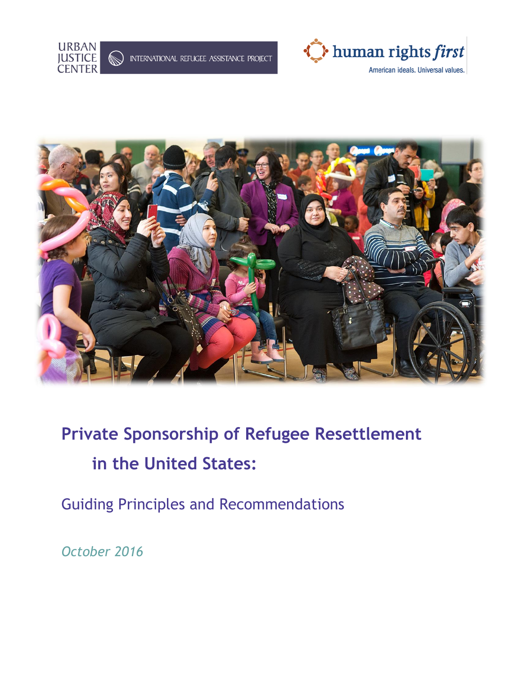



American ideals. Universal values.



# **Private Sponsorship of Refugee Resettlement in the United States:**

Guiding Principles and Recommendations

*October 2016*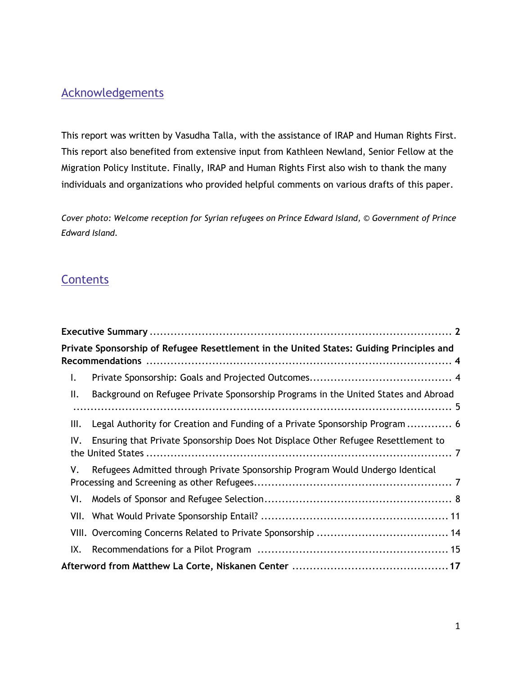# Acknowledgements

This report was written by Vasudha Talla, with the assistance of IRAP and Human Rights First. This report also benefited from extensive input from Kathleen Newland, Senior Fellow at the Migration Policy Institute. Finally, IRAP and Human Rights First also wish to thank the many individuals and organizations who provided helpful comments on various drafts of this paper.

*Cover photo: Welcome reception for Syrian refugees on Prince Edward Island, © Government of Prince Edward Island.*

# **Contents**

|     | Private Sponsorship of Refugee Resettlement in the United States: Guiding Principles and |  |
|-----|------------------------------------------------------------------------------------------|--|
| I.  |                                                                                          |  |
| Ш.  | Background on Refugee Private Sponsorship Programs in the United States and Abroad       |  |
| Ш.  | Legal Authority for Creation and Funding of a Private Sponsorship Program  6             |  |
| IV. | Ensuring that Private Sponsorship Does Not Displace Other Refugee Resettlement to        |  |
| V.  | Refugees Admitted through Private Sponsorship Program Would Undergo Identical            |  |
| VI. |                                                                                          |  |
|     |                                                                                          |  |
|     |                                                                                          |  |
| IX. |                                                                                          |  |
|     |                                                                                          |  |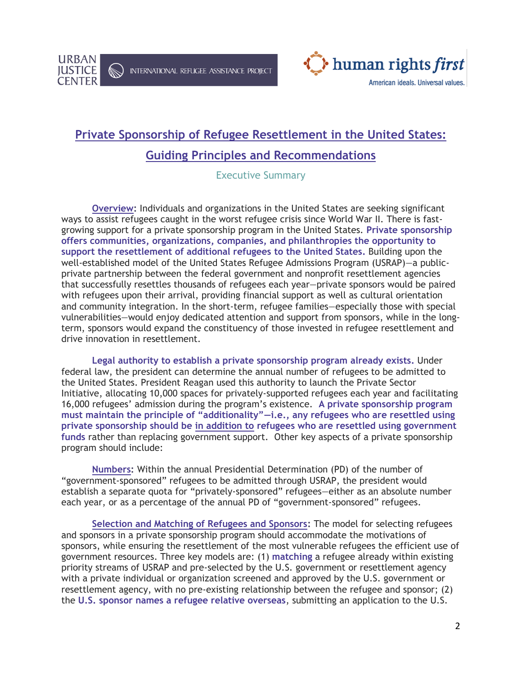

INTERNATIONAL REFUGEE ASSISTANCE PROJECT



# **Private Sponsorship of Refugee Resettlement in the United States:**

# **Guiding Principles and Recommendations**

## Executive Summary

**Overview:** Individuals and organizations in the United States are seeking significant ways to assist refugees caught in the worst refugee crisis since World War II. There is fastgrowing support for a private sponsorship program in the United States. **Private sponsorship offers communities, organizations, companies, and philanthropies the opportunity to support the resettlement of additional refugees to the United States.** Building upon the well-established model of the United States Refugee Admissions Program (USRAP)—a publicprivate partnership between the federal government and nonprofit resettlement agencies that successfully resettles thousands of refugees each year—private sponsors would be paired with refugees upon their arrival, providing financial support as well as cultural orientation and community integration. In the short-term, refugee families—especially those with special vulnerabilities—would enjoy dedicated attention and support from sponsors, while in the longterm, sponsors would expand the constituency of those invested in refugee resettlement and drive innovation in resettlement.

**Legal authority to establish a private sponsorship program already exists.** Under federal law, the president can determine the annual number of refugees to be admitted to the United States. President Reagan used this authority to launch the Private Sector Initiative, allocating 10,000 spaces for privately-supported refugees each year and facilitating 16,000 refugees' admission during the program's existence. **A private sponsorship program must maintain the principle of "additionality"—i.e., any refugees who are resettled using private sponsorship should be in addition to refugees who are resettled using government funds** rather than replacing government support. Other key aspects of a private sponsorship program should include:

**Numbers:** Within the annual Presidential Determination (PD) of the number of "government-sponsored" refugees to be admitted through USRAP, the president would establish a separate quota for "privately-sponsored" refugees—either as an absolute number each year, or as a percentage of the annual PD of "government-sponsored" refugees.

**Selection and Matching of Refugees and Sponsors:** The model for selecting refugees and sponsors in a private sponsorship program should accommodate the motivations of sponsors, while ensuring the resettlement of the most vulnerable refugees the efficient use of government resources. Three key models are: (1) **matching** a refugee already within existing priority streams of USRAP and pre-selected by the U.S. government or resettlement agency with a private individual or organization screened and approved by the U.S. government or resettlement agency, with no pre-existing relationship between the refugee and sponsor; (2) the **U.S. sponsor names a refugee relative overseas**, submitting an application to the U.S.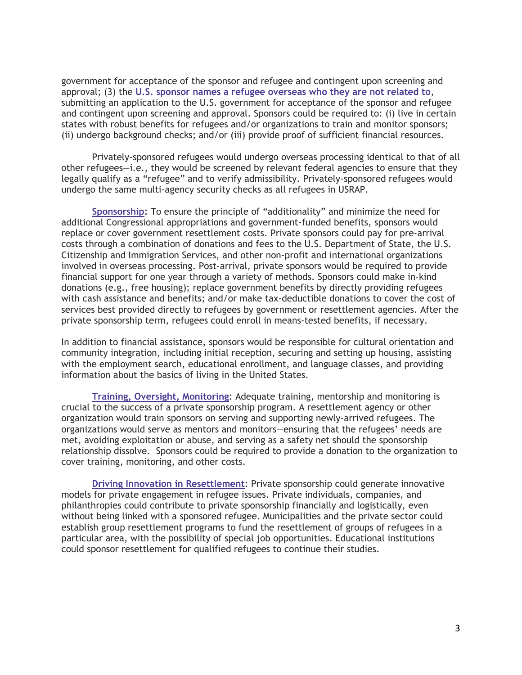government for acceptance of the sponsor and refugee and contingent upon screening and approval; (3) the **U.S. sponsor names a refugee overseas who they are not related to**, submitting an application to the U.S. government for acceptance of the sponsor and refugee and contingent upon screening and approval. Sponsors could be required to: (i) live in certain states with robust benefits for refugees and/or organizations to train and monitor sponsors; (ii) undergo background checks; and/or (iii) provide proof of sufficient financial resources.

Privately-sponsored refugees would undergo overseas processing identical to that of all other refugees—i.e., they would be screened by relevant federal agencies to ensure that they legally qualify as a "refugee" and to verify admissibility. Privately-sponsored refugees would undergo the same multi-agency security checks as all refugees in USRAP.

**Sponsorship:** To ensure the principle of "additionality" and minimize the need for additional Congressional appropriations and government-funded benefits, sponsors would replace or cover government resettlement costs. Private sponsors could pay for pre-arrival costs through a combination of donations and fees to the U.S. Department of State, the U.S. Citizenship and Immigration Services, and other non-profit and international organizations involved in overseas processing. Post-arrival, private sponsors would be required to provide financial support for one year through a variety of methods. Sponsors could make in-kind donations (e.g., free housing); replace government benefits by directly providing refugees with cash assistance and benefits; and/or make tax-deductible donations to cover the cost of services best provided directly to refugees by government or resettlement agencies. After the private sponsorship term, refugees could enroll in means-tested benefits, if necessary.

In addition to financial assistance, sponsors would be responsible for cultural orientation and community integration, including initial reception, securing and setting up housing, assisting with the employment search, educational enrollment, and language classes, and providing information about the basics of living in the United States.

**Training, Oversight, Monitoring:** Adequate training, mentorship and monitoring is crucial to the success of a private sponsorship program. A resettlement agency or other organization would train sponsors on serving and supporting newly-arrived refugees. The organizations would serve as mentors and monitors—ensuring that the refugees' needs are met, avoiding exploitation or abuse, and serving as a safety net should the sponsorship relationship dissolve. Sponsors could be required to provide a donation to the organization to cover training, monitoring, and other costs.

**Driving Innovation in Resettlement:** Private sponsorship could generate innovative models for private engagement in refugee issues. Private individuals, companies, and philanthropies could contribute to private sponsorship financially and logistically, even without being linked with a sponsored refugee. Municipalities and the private sector could establish group resettlement programs to fund the resettlement of groups of refugees in a particular area, with the possibility of special job opportunities. Educational institutions could sponsor resettlement for qualified refugees to continue their studies.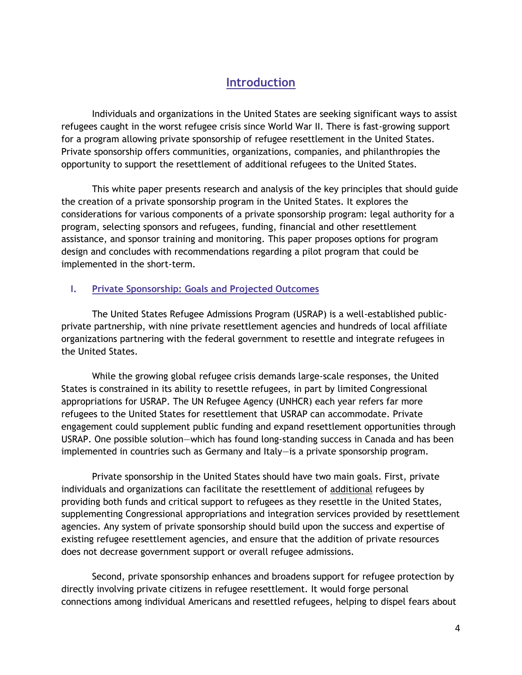# **Introduction**

Individuals and organizations in the United States are seeking significant ways to assist refugees caught in the worst refugee crisis since World War II. There is fast-growing support for a program allowing private sponsorship of refugee resettlement in the United States. Private sponsorship offers communities, organizations, companies, and philanthropies the opportunity to support the resettlement of additional refugees to the United States.

This white paper presents research and analysis of the key principles that should guide the creation of a private sponsorship program in the United States. It explores the considerations for various components of a private sponsorship program: legal authority for a program, selecting sponsors and refugees, funding, financial and other resettlement assistance, and sponsor training and monitoring. This paper proposes options for program design and concludes with recommendations regarding a pilot program that could be implemented in the short-term.

#### **I. Private Sponsorship: Goals and Projected Outcomes**

The United States Refugee Admissions Program (USRAP) is a well-established publicprivate partnership, with nine private resettlement agencies and hundreds of local affiliate organizations partnering with the federal government to resettle and integrate refugees in the United States.

While the growing global refugee crisis demands large-scale responses, the United States is constrained in its ability to resettle refugees, in part by limited Congressional appropriations for USRAP. The UN Refugee Agency (UNHCR) each year refers far more refugees to the United States for resettlement that USRAP can accommodate. Private engagement could supplement public funding and expand resettlement opportunities through USRAP. One possible solution—which has found long-standing success in Canada and has been implemented in countries such as Germany and Italy—is a private sponsorship program.

Private sponsorship in the United States should have two main goals. First, private individuals and organizations can facilitate the resettlement of additional refugees by providing both funds and critical support to refugees as they resettle in the United States, supplementing Congressional appropriations and integration services provided by resettlement agencies. Any system of private sponsorship should build upon the success and expertise of existing refugee resettlement agencies, and ensure that the addition of private resources does not decrease government support or overall refugee admissions.

Second, private sponsorship enhances and broadens support for refugee protection by directly involving private citizens in refugee resettlement. It would forge personal connections among individual Americans and resettled refugees, helping to dispel fears about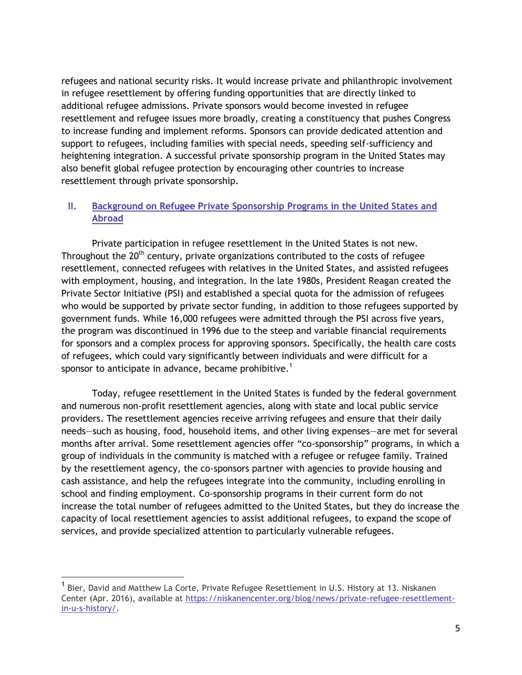refugees and national security risks. It would increase private and philanthropic involvement in refugee resettlement by offering funding opportunities that are directly linked to additional refugee admissions. Private sponsors would become invested in refugee resettlement and refugee issues more broadly, creating a constituency that pushes Congress to increase funding and implement reforms. Sponsors can provide dedicated attention and support to refugees, including families with special needs, speeding self-sufficiency and heightening integration. A successful private sponsorship program in the United States may also benefit global refugee protection by encouraging other countries to increase resettlement through private sponsorship.

## **II. Background on Refugee Private Sponsorship Programs in the United States and Abroad**

Private participation in refugee resettlement in the United States is not new. Throughout the 20<sup>th</sup> century, private organizations contributed to the costs of refugee resettlement, connected refugees with relatives in the United States, and assisted refugees with employment, housing, and integration. In the late 1980s, President Reagan created the Private Sector Initiative (PSI) and established a special quota for the admission of refugees who would be supported by private sector funding, in addition to those refugees supported by government funds. While 16,000 refugees were admitted through the PSI across five years, the program was discontinued in 1996 due to the steep and variable financial requirements for sponsors and a complex process for approving sponsors. Specifically, the health care costs of refugees, which could vary significantly between individuals and were difficult for a sponsor to anticipate in advance, became prohibitive.<sup>1</sup>

Today, refugee resettlement in the United States is funded by the federal government and numerous non-profit resettlement agencies, along with state and local public service providers. The resettlement agencies receive arriving refugees and ensure that their daily needs—such as housing, food, household items, and other living expenses—are met for several months after arrival. Some resettlement agencies offer "co-sponsorship" programs, in which a group of individuals in the community is matched with a refugee or refugee family. Trained by the resettlement agency, the co-sponsors partner with agencies to provide housing and cash assistance, and help the refugees integrate into the community, including enrolling in school and finding employment. Co-sponsorship programs in their current form do not increase the total number of refugees admitted to the United States, but they do increase the capacity of local resettlement agencies to assist additional refugees, to expand the scope of services, and provide specialized attention to particularly vulnerable refugees.

 $\overline{a}$ 

<sup>1</sup> Bier, David and Matthew La Corte, Private Refugee Resettlement in U.S. History at 13. Niskanen Center (Apr. 2016), available at [https://niskanencenter.org/blog/news/private-refugee-resettlement](https://niskanencenter.org/blog/news/private-refugee-resettlement-in-u-s-history/)[in-u-s-history/.](https://niskanencenter.org/blog/news/private-refugee-resettlement-in-u-s-history/)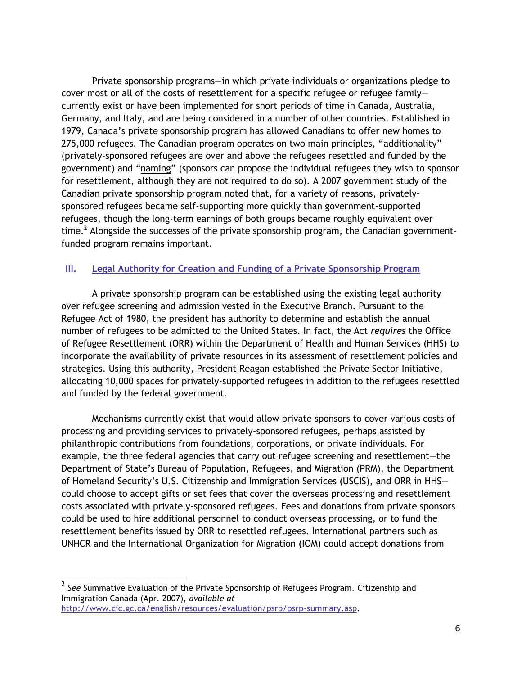Private sponsorship programs—in which private individuals or organizations pledge to cover most or all of the costs of resettlement for a specific refugee or refugee family currently exist or have been implemented for short periods of time in Canada, Australia, Germany, and Italy, and are being considered in a number of other countries. Established in 1979, Canada's private sponsorship program has allowed Canadians to offer new homes to 275,000 refugees. The Canadian program operates on two main principles, "additionality" (privately-sponsored refugees are over and above the refugees resettled and funded by the government) and "naming" (sponsors can propose the individual refugees they wish to sponsor for resettlement, although they are not required to do so). A 2007 government study of the Canadian private sponsorship program noted that, for a variety of reasons, privatelysponsored refugees became self-supporting more quickly than government-supported refugees, though the long-term earnings of both groups became roughly equivalent over time.<sup>2</sup> Alongside the successes of the private sponsorship program, the Canadian governmentfunded program remains important.

#### **III. Legal Authority for Creation and Funding of a Private Sponsorship Program**

A private sponsorship program can be established using the existing legal authority over refugee screening and admission vested in the Executive Branch. Pursuant to the Refugee Act of 1980, the president has authority to determine and establish the annual number of refugees to be admitted to the United States. In fact, the Act *requires* the Office of Refugee Resettlement (ORR) within the Department of Health and Human Services (HHS) to incorporate the availability of private resources in its assessment of resettlement policies and strategies. Using this authority, President Reagan established the Private Sector Initiative, allocating 10,000 spaces for privately-supported refugees in addition to the refugees resettled and funded by the federal government.

Mechanisms currently exist that would allow private sponsors to cover various costs of processing and providing services to privately-sponsored refugees, perhaps assisted by philanthropic contributions from foundations, corporations, or private individuals. For example, the three federal agencies that carry out refugee screening and resettlement—the Department of State's Bureau of Population, Refugees, and Migration (PRM), the Department of Homeland Security's U.S. Citizenship and Immigration Services (USCIS), and ORR in HHS could choose to accept gifts or set fees that cover the overseas processing and resettlement costs associated with privately-sponsored refugees. Fees and donations from private sponsors could be used to hire additional personnel to conduct overseas processing, or to fund the resettlement benefits issued by ORR to resettled refugees. International partners such as UNHCR and the International Organization for Migration (IOM) could accept donations from

 2 *See* Summative Evaluation of the Private Sponsorship of Refugees Program. Citizenship and Immigration Canada (Apr. 2007), *available at* [http://www.cic.gc.ca/english/resources/evaluation/psrp/psrp-summary.asp.](http://www.cic.gc.ca/english/resources/evaluation/psrp/psrp-summary.asp)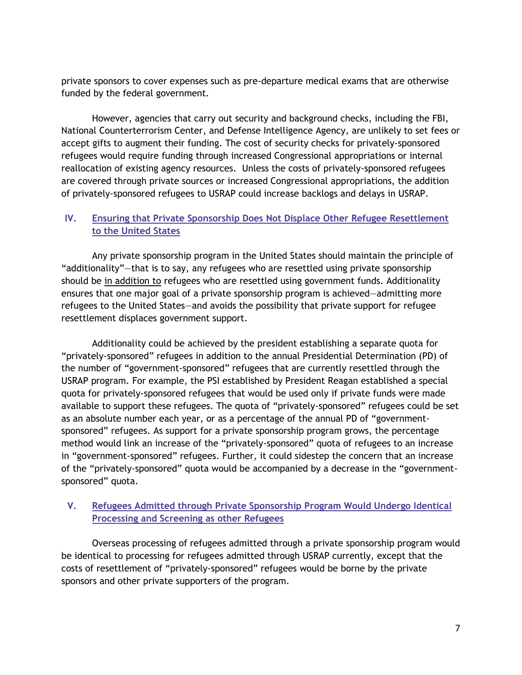private sponsors to cover expenses such as pre-departure medical exams that are otherwise funded by the federal government.

However, agencies that carry out security and background checks, including the FBI, National Counterterrorism Center, and Defense Intelligence Agency, are unlikely to set fees or accept gifts to augment their funding. The cost of security checks for privately-sponsored refugees would require funding through increased Congressional appropriations or internal reallocation of existing agency resources. Unless the costs of privately-sponsored refugees are covered through private sources or increased Congressional appropriations, the addition of privately-sponsored refugees to USRAP could increase backlogs and delays in USRAP.

### **IV. Ensuring that Private Sponsorship Does Not Displace Other Refugee Resettlement to the United States**

Any private sponsorship program in the United States should maintain the principle of "additionality"—that is to say, any refugees who are resettled using private sponsorship should be in addition to refugees who are resettled using government funds. Additionality ensures that one major goal of a private sponsorship program is achieved—admitting more refugees to the United States—and avoids the possibility that private support for refugee resettlement displaces government support.

Additionality could be achieved by the president establishing a separate quota for "privately-sponsored" refugees in addition to the annual Presidential Determination (PD) of the number of "government-sponsored" refugees that are currently resettled through the USRAP program. For example, the PSI established by President Reagan established a special quota for privately-sponsored refugees that would be used only if private funds were made available to support these refugees. The quota of "privately-sponsored" refugees could be set as an absolute number each year, or as a percentage of the annual PD of "governmentsponsored" refugees. As support for a private sponsorship program grows, the percentage method would link an increase of the "privately-sponsored" quota of refugees to an increase in "government-sponsored" refugees. Further, it could sidestep the concern that an increase of the "privately-sponsored" quota would be accompanied by a decrease in the "governmentsponsored" quota.

## **V. Refugees Admitted through Private Sponsorship Program Would Undergo Identical Processing and Screening as other Refugees**

Overseas processing of refugees admitted through a private sponsorship program would be identical to processing for refugees admitted through USRAP currently, except that the costs of resettlement of "privately-sponsored" refugees would be borne by the private sponsors and other private supporters of the program.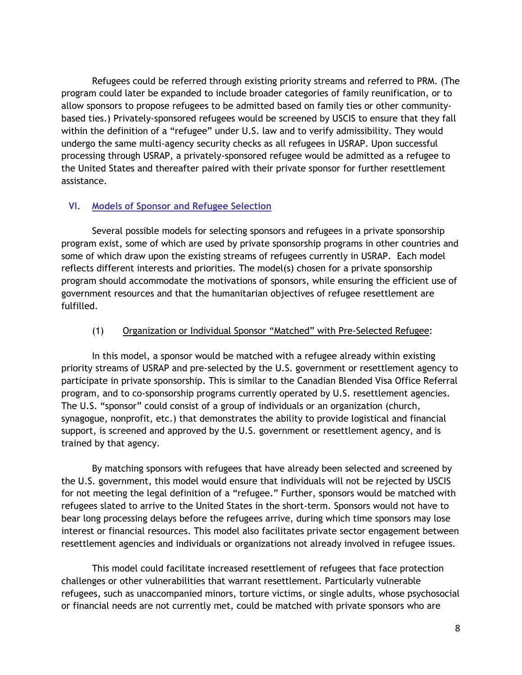Refugees could be referred through existing priority streams and referred to PRM. (The program could later be expanded to include broader categories of family reunification, or to allow sponsors to propose refugees to be admitted based on family ties or other communitybased ties.) Privately-sponsored refugees would be screened by USCIS to ensure that they fall within the definition of a "refugee" under U.S. law and to verify admissibility. They would undergo the same multi-agency security checks as all refugees in USRAP. Upon successful processing through USRAP, a privately-sponsored refugee would be admitted as a refugee to the United States and thereafter paired with their private sponsor for further resettlement assistance.

#### **VI. Models of Sponsor and Refugee Selection**

Several possible models for selecting sponsors and refugees in a private sponsorship program exist, some of which are used by private sponsorship programs in other countries and some of which draw upon the existing streams of refugees currently in USRAP. Each model reflects different interests and priorities. The model(s) chosen for a private sponsorship program should accommodate the motivations of sponsors, while ensuring the efficient use of government resources and that the humanitarian objectives of refugee resettlement are fulfilled.

#### (1) Organization or Individual Sponsor "Matched" with Pre-Selected Refugee:

In this model, a sponsor would be matched with a refugee already within existing priority streams of USRAP and pre-selected by the U.S. government or resettlement agency to participate in private sponsorship. This is similar to the Canadian Blended Visa Office Referral program, and to co-sponsorship programs currently operated by U.S. resettlement agencies. The U.S. "sponsor" could consist of a group of individuals or an organization (church, synagogue, nonprofit, etc.) that demonstrates the ability to provide logistical and financial support, is screened and approved by the U.S. government or resettlement agency, and is trained by that agency.

By matching sponsors with refugees that have already been selected and screened by the U.S. government, this model would ensure that individuals will not be rejected by USCIS for not meeting the legal definition of a "refugee." Further, sponsors would be matched with refugees slated to arrive to the United States in the short-term. Sponsors would not have to bear long processing delays before the refugees arrive, during which time sponsors may lose interest or financial resources. This model also facilitates private sector engagement between resettlement agencies and individuals or organizations not already involved in refugee issues.

This model could facilitate increased resettlement of refugees that face protection challenges or other vulnerabilities that warrant resettlement. Particularly vulnerable refugees, such as unaccompanied minors, torture victims, or single adults, whose psychosocial or financial needs are not currently met, could be matched with private sponsors who are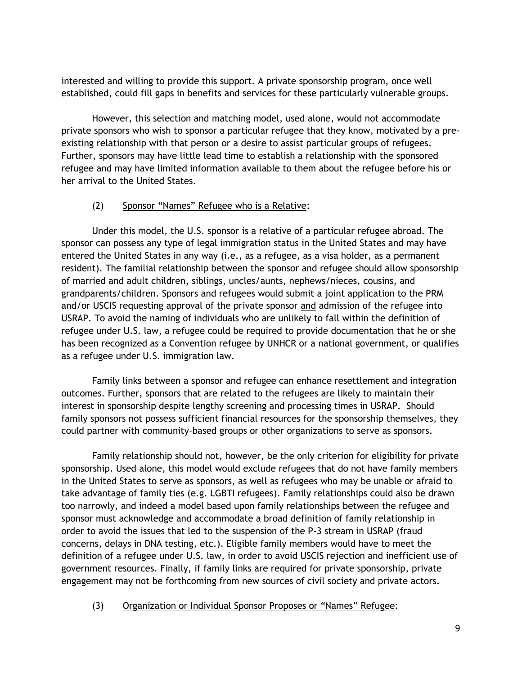interested and willing to provide this support. A private sponsorship program, once well established, could fill gaps in benefits and services for these particularly vulnerable groups.

However, this selection and matching model, used alone, would not accommodate private sponsors who wish to sponsor a particular refugee that they know, motivated by a preexisting relationship with that person or a desire to assist particular groups of refugees. Further, sponsors may have little lead time to establish a relationship with the sponsored refugee and may have limited information available to them about the refugee before his or her arrival to the United States.

## (2) Sponsor "Names" Refugee who is a Relative:

Under this model, the U.S. sponsor is a relative of a particular refugee abroad. The sponsor can possess any type of legal immigration status in the United States and may have entered the United States in any way (i.e., as a refugee, as a visa holder, as a permanent resident). The familial relationship between the sponsor and refugee should allow sponsorship of married and adult children, siblings, uncles/aunts, nephews/nieces, cousins, and grandparents/children. Sponsors and refugees would submit a joint application to the PRM and/or USCIS requesting approval of the private sponsor and admission of the refugee into USRAP. To avoid the naming of individuals who are unlikely to fall within the definition of refugee under U.S. law, a refugee could be required to provide documentation that he or she has been recognized as a Convention refugee by UNHCR or a national government, or qualifies as a refugee under U.S. immigration law.

Family links between a sponsor and refugee can enhance resettlement and integration outcomes. Further, sponsors that are related to the refugees are likely to maintain their interest in sponsorship despite lengthy screening and processing times in USRAP. Should family sponsors not possess sufficient financial resources for the sponsorship themselves, they could partner with community-based groups or other organizations to serve as sponsors.

Family relationship should not, however, be the only criterion for eligibility for private sponsorship. Used alone, this model would exclude refugees that do not have family members in the United States to serve as sponsors, as well as refugees who may be unable or afraid to take advantage of family ties (e.g. LGBTI refugees). Family relationships could also be drawn too narrowly, and indeed a model based upon family relationships between the refugee and sponsor must acknowledge and accommodate a broad definition of family relationship in order to avoid the issues that led to the suspension of the P-3 stream in USRAP (fraud concerns, delays in DNA testing, etc.). Eligible family members would have to meet the definition of a refugee under U.S. law, in order to avoid USCIS rejection and inefficient use of government resources. Finally, if family links are required for private sponsorship, private engagement may not be forthcoming from new sources of civil society and private actors.

#### (3) Organization or Individual Sponsor Proposes or "Names" Refugee: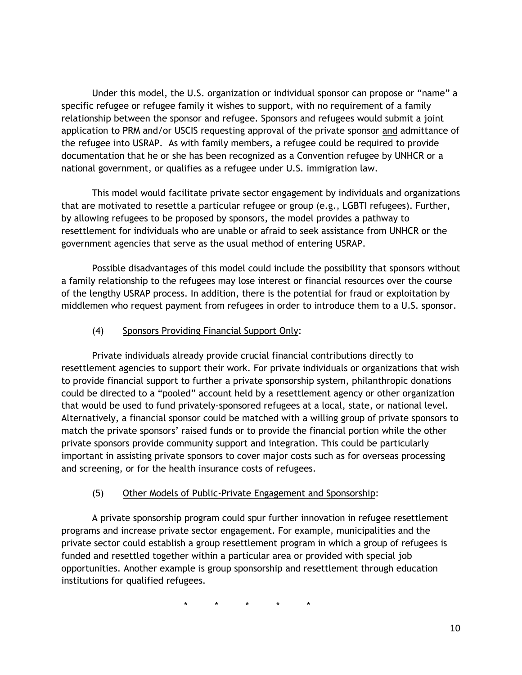Under this model, the U.S. organization or individual sponsor can propose or "name" a specific refugee or refugee family it wishes to support, with no requirement of a family relationship between the sponsor and refugee. Sponsors and refugees would submit a joint application to PRM and/or USCIS requesting approval of the private sponsor and admittance of the refugee into USRAP. As with family members, a refugee could be required to provide documentation that he or she has been recognized as a Convention refugee by UNHCR or a national government, or qualifies as a refugee under U.S. immigration law.

This model would facilitate private sector engagement by individuals and organizations that are motivated to resettle a particular refugee or group (e.g., LGBTI refugees). Further, by allowing refugees to be proposed by sponsors, the model provides a pathway to resettlement for individuals who are unable or afraid to seek assistance from UNHCR or the government agencies that serve as the usual method of entering USRAP.

Possible disadvantages of this model could include the possibility that sponsors without a family relationship to the refugees may lose interest or financial resources over the course of the lengthy USRAP process. In addition, there is the potential for fraud or exploitation by middlemen who request payment from refugees in order to introduce them to a U.S. sponsor.

# (4) Sponsors Providing Financial Support Only:

Private individuals already provide crucial financial contributions directly to resettlement agencies to support their work. For private individuals or organizations that wish to provide financial support to further a private sponsorship system, philanthropic donations could be directed to a "pooled" account held by a resettlement agency or other organization that would be used to fund privately-sponsored refugees at a local, state, or national level. Alternatively, a financial sponsor could be matched with a willing group of private sponsors to match the private sponsors' raised funds or to provide the financial portion while the other private sponsors provide community support and integration. This could be particularly important in assisting private sponsors to cover major costs such as for overseas processing and screening, or for the health insurance costs of refugees.

## (5) Other Models of Public-Private Engagement and Sponsorship:

A private sponsorship program could spur further innovation in refugee resettlement programs and increase private sector engagement. For example, municipalities and the private sector could establish a group resettlement program in which a group of refugees is funded and resettled together within a particular area or provided with special job opportunities. Another example is group sponsorship and resettlement through education institutions for qualified refugees.

\* \* \* \* \*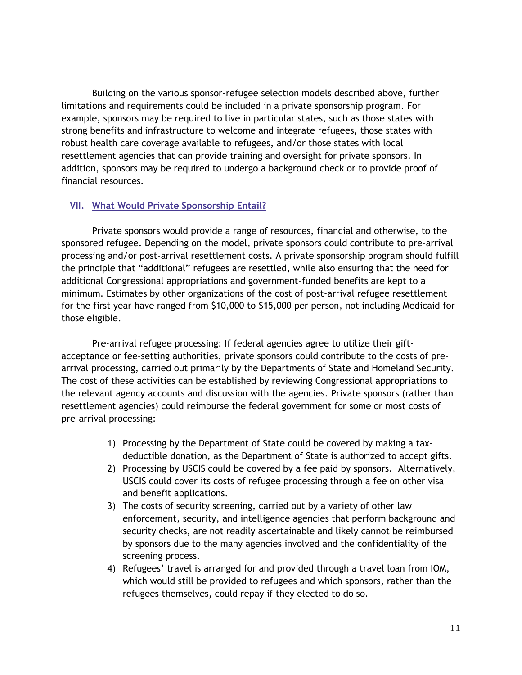Building on the various sponsor-refugee selection models described above, further limitations and requirements could be included in a private sponsorship program. For example, sponsors may be required to live in particular states, such as those states with strong benefits and infrastructure to welcome and integrate refugees, those states with robust health care coverage available to refugees, and/or those states with local resettlement agencies that can provide training and oversight for private sponsors. In addition, sponsors may be required to undergo a background check or to provide proof of financial resources.

#### **VII. What Would Private Sponsorship Entail?**

Private sponsors would provide a range of resources, financial and otherwise, to the sponsored refugee. Depending on the model, private sponsors could contribute to pre-arrival processing and/or post-arrival resettlement costs. A private sponsorship program should fulfill the principle that "additional" refugees are resettled, while also ensuring that the need for additional Congressional appropriations and government-funded benefits are kept to a minimum. Estimates by other organizations of the cost of post-arrival refugee resettlement for the first year have ranged from \$10,000 to \$15,000 per person, not including Medicaid for those eligible.

Pre-arrival refugee processing: If federal agencies agree to utilize their giftacceptance or fee-setting authorities, private sponsors could contribute to the costs of prearrival processing, carried out primarily by the Departments of State and Homeland Security. The cost of these activities can be established by reviewing Congressional appropriations to the relevant agency accounts and discussion with the agencies. Private sponsors (rather than resettlement agencies) could reimburse the federal government for some or most costs of pre-arrival processing:

- 1) Processing by the Department of State could be covered by making a taxdeductible donation, as the Department of State is authorized to accept gifts.
- 2) Processing by USCIS could be covered by a fee paid by sponsors. Alternatively, USCIS could cover its costs of refugee processing through a fee on other visa and benefit applications.
- 3) The costs of security screening, carried out by a variety of other law enforcement, security, and intelligence agencies that perform background and security checks, are not readily ascertainable and likely cannot be reimbursed by sponsors due to the many agencies involved and the confidentiality of the screening process.
- 4) Refugees' travel is arranged for and provided through a travel loan from IOM, which would still be provided to refugees and which sponsors, rather than the refugees themselves, could repay if they elected to do so.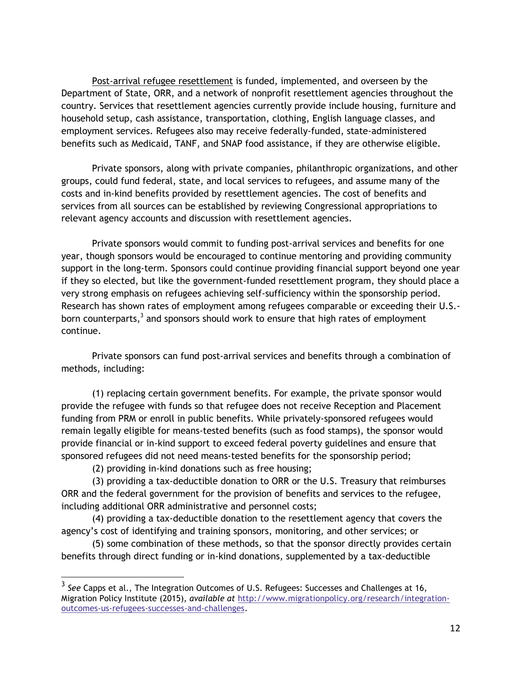Post-arrival refugee resettlement is funded, implemented, and overseen by the Department of State, ORR, and a network of nonprofit resettlement agencies throughout the country. Services that resettlement agencies currently provide include housing, furniture and household setup, cash assistance, transportation, clothing, English language classes, and employment services. Refugees also may receive federally-funded, state-administered benefits such as Medicaid, TANF, and SNAP food assistance, if they are otherwise eligible.

Private sponsors, along with private companies, philanthropic organizations, and other groups, could fund federal, state, and local services to refugees, and assume many of the costs and in-kind benefits provided by resettlement agencies. The cost of benefits and services from all sources can be established by reviewing Congressional appropriations to relevant agency accounts and discussion with resettlement agencies.

Private sponsors would commit to funding post-arrival services and benefits for one year, though sponsors would be encouraged to continue mentoring and providing community support in the long-term. Sponsors could continue providing financial support beyond one year if they so elected, but like the government-funded resettlement program, they should place a very strong emphasis on refugees achieving self-sufficiency within the sponsorship period. Research has shown rates of employment among refugees comparable or exceeding their U.S. born counterparts, $^3$  and sponsors should work to ensure that high rates of employment continue.

Private sponsors can fund post-arrival services and benefits through a combination of methods, including:

(1) replacing certain government benefits. For example, the private sponsor would provide the refugee with funds so that refugee does not receive Reception and Placement funding from PRM or enroll in public benefits. While privately-sponsored refugees would remain legally eligible for means-tested benefits (such as food stamps), the sponsor would provide financial or in-kind support to exceed federal poverty guidelines and ensure that sponsored refugees did not need means-tested benefits for the sponsorship period;

(2) providing in-kind donations such as free housing;

(3) providing a tax-deductible donation to ORR or the U.S. Treasury that reimburses ORR and the federal government for the provision of benefits and services to the refugee, including additional ORR administrative and personnel costs;

(4) providing a tax-deductible donation to the resettlement agency that covers the agency's cost of identifying and training sponsors, monitoring, and other services; or

(5) some combination of these methods, so that the sponsor directly provides certain benefits through direct funding or in-kind donations, supplemented by a tax-deductible

 3 *See* Capps et al., The Integration Outcomes of U.S. Refugees: Successes and Challenges at 16, Migration Policy Institute (2015), *available at* [http://www.migrationpolicy.org/research/integration](http://www.migrationpolicy.org/research/integration-outcomes-us-refugees-successes-and-challenges)[outcomes-us-refugees-successes-and-challenges.](http://www.migrationpolicy.org/research/integration-outcomes-us-refugees-successes-and-challenges)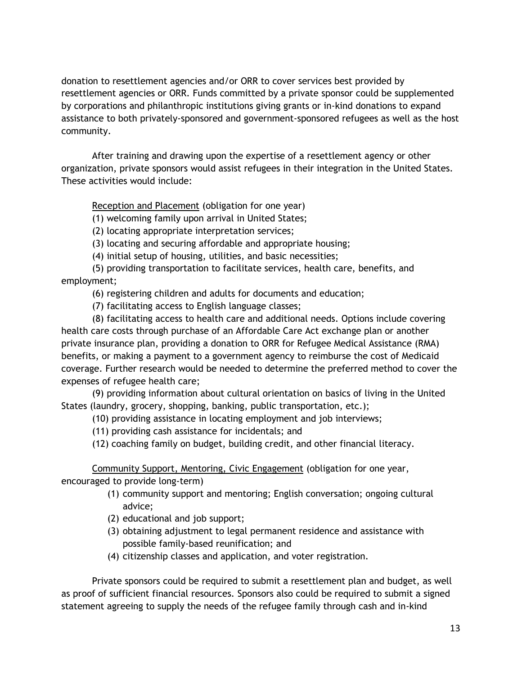donation to resettlement agencies and/or ORR to cover services best provided by resettlement agencies or ORR. Funds committed by a private sponsor could be supplemented by corporations and philanthropic institutions giving grants or in-kind donations to expand assistance to both privately-sponsored and government-sponsored refugees as well as the host community.

After training and drawing upon the expertise of a resettlement agency or other organization, private sponsors would assist refugees in their integration in the United States. These activities would include:

Reception and Placement (obligation for one year)

(1) welcoming family upon arrival in United States;

(2) locating appropriate interpretation services;

(3) locating and securing affordable and appropriate housing;

(4) initial setup of housing, utilities, and basic necessities;

(5) providing transportation to facilitate services, health care, benefits, and employment;

(6) registering children and adults for documents and education;

(7) facilitating access to English language classes;

(8) facilitating access to health care and additional needs. Options include covering health care costs through purchase of an Affordable Care Act exchange plan or another private insurance plan, providing a donation to ORR for Refugee Medical Assistance (RMA) benefits, or making a payment to a government agency to reimburse the cost of Medicaid coverage. Further research would be needed to determine the preferred method to cover the expenses of refugee health care;

(9) providing information about cultural orientation on basics of living in the United States (laundry, grocery, shopping, banking, public transportation, etc.);

(10) providing assistance in locating employment and job interviews;

(11) providing cash assistance for incidentals; and

(12) coaching family on budget, building credit, and other financial literacy.

Community Support, Mentoring, Civic Engagement (obligation for one year, encouraged to provide long-term)

- (1) community support and mentoring; English conversation; ongoing cultural advice;
- (2) educational and job support;
- (3) obtaining adjustment to legal permanent residence and assistance with possible family-based reunification; and
- (4) citizenship classes and application, and voter registration.

Private sponsors could be required to submit a resettlement plan and budget, as well as proof of sufficient financial resources. Sponsors also could be required to submit a signed statement agreeing to supply the needs of the refugee family through cash and in-kind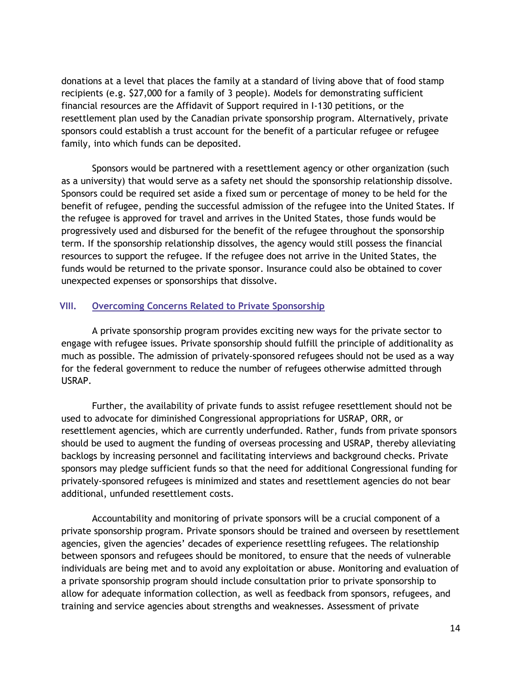donations at a level that places the family at a standard of living above that of food stamp recipients (e.g. \$27,000 for a family of 3 people). Models for demonstrating sufficient financial resources are the Affidavit of Support required in I-130 petitions, or the resettlement plan used by the Canadian private sponsorship program. Alternatively, private sponsors could establish a trust account for the benefit of a particular refugee or refugee family, into which funds can be deposited.

Sponsors would be partnered with a resettlement agency or other organization (such as a university) that would serve as a safety net should the sponsorship relationship dissolve. Sponsors could be required set aside a fixed sum or percentage of money to be held for the benefit of refugee, pending the successful admission of the refugee into the United States. If the refugee is approved for travel and arrives in the United States, those funds would be progressively used and disbursed for the benefit of the refugee throughout the sponsorship term. If the sponsorship relationship dissolves, the agency would still possess the financial resources to support the refugee. If the refugee does not arrive in the United States, the funds would be returned to the private sponsor. Insurance could also be obtained to cover unexpected expenses or sponsorships that dissolve.

#### **VIII. Overcoming Concerns Related to Private Sponsorship**

A private sponsorship program provides exciting new ways for the private sector to engage with refugee issues. Private sponsorship should fulfill the principle of additionality as much as possible. The admission of privately-sponsored refugees should not be used as a way for the federal government to reduce the number of refugees otherwise admitted through USRAP.

Further, the availability of private funds to assist refugee resettlement should not be used to advocate for diminished Congressional appropriations for USRAP, ORR, or resettlement agencies, which are currently underfunded. Rather, funds from private sponsors should be used to augment the funding of overseas processing and USRAP, thereby alleviating backlogs by increasing personnel and facilitating interviews and background checks. Private sponsors may pledge sufficient funds so that the need for additional Congressional funding for privately-sponsored refugees is minimized and states and resettlement agencies do not bear additional, unfunded resettlement costs.

Accountability and monitoring of private sponsors will be a crucial component of a private sponsorship program. Private sponsors should be trained and overseen by resettlement agencies, given the agencies' decades of experience resettling refugees. The relationship between sponsors and refugees should be monitored, to ensure that the needs of vulnerable individuals are being met and to avoid any exploitation or abuse. Monitoring and evaluation of a private sponsorship program should include consultation prior to private sponsorship to allow for adequate information collection, as well as feedback from sponsors, refugees, and training and service agencies about strengths and weaknesses. Assessment of private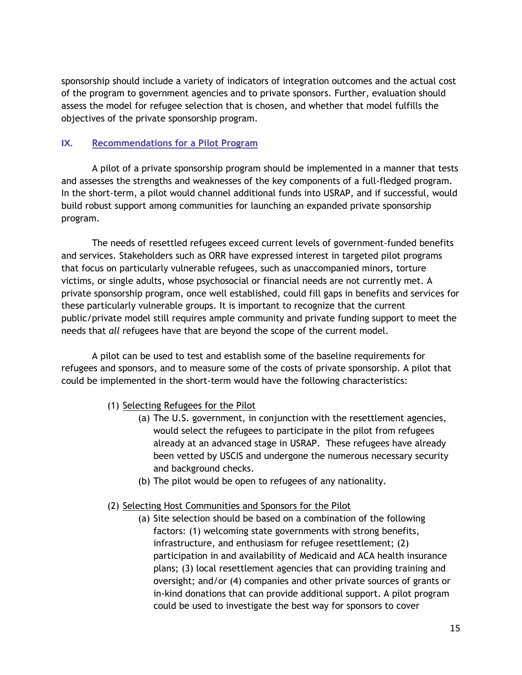sponsorship should include a variety of indicators of integration outcomes and the actual cost of the program to government agencies and to private sponsors. Further, evaluation should assess the model for refugee selection that is chosen, and whether that model fulfills the objectives of the private sponsorship program.

## **IX. Recommendations for a Pilot Program**

A pilot of a private sponsorship program should be implemented in a manner that tests and assesses the strengths and weaknesses of the key components of a full-fledged program. In the short-term, a pilot would channel additional funds into USRAP, and if successful, would build robust support among communities for launching an expanded private sponsorship program.

The needs of resettled refugees exceed current levels of government-funded benefits and services. Stakeholders such as ORR have expressed interest in targeted pilot programs that focus on particularly vulnerable refugees, such as unaccompanied minors, torture victims, or single adults, whose psychosocial or financial needs are not currently met. A private sponsorship program, once well established, could fill gaps in benefits and services for these particularly vulnerable groups. It is important to recognize that the current public/private model still requires ample community and private funding support to meet the needs that *all* refugees have that are beyond the scope of the current model.

A pilot can be used to test and establish some of the baseline requirements for refugees and sponsors, and to measure some of the costs of private sponsorship. A pilot that could be implemented in the short-term would have the following characteristics:

- (1) Selecting Refugees for the Pilot
	- (a) The U.S. government, in conjunction with the resettlement agencies, would select the refugees to participate in the pilot from refugees already at an advanced stage in USRAP. These refugees have already been vetted by USCIS and undergone the numerous necessary security and background checks.
	- (b) The pilot would be open to refugees of any nationality.

#### (2) Selecting Host Communities and Sponsors for the Pilot

(a) Site selection should be based on a combination of the following factors: (1) welcoming state governments with strong benefits, infrastructure, and enthusiasm for refugee resettlement; (2) participation in and availability of Medicaid and ACA health insurance plans; (3) local resettlement agencies that can providing training and oversight; and/or (4) companies and other private sources of grants or in-kind donations that can provide additional support. A pilot program could be used to investigate the best way for sponsors to cover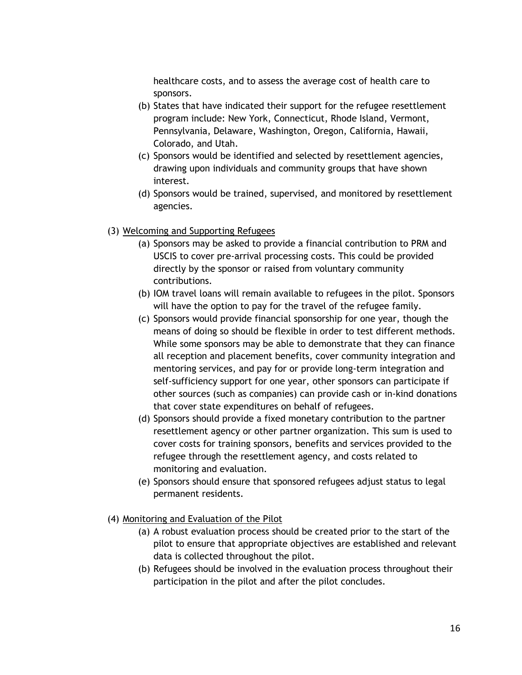healthcare costs, and to assess the average cost of health care to sponsors.

- (b) States that have indicated their support for the refugee resettlement program include: New York, Connecticut, Rhode Island, Vermont, Pennsylvania, Delaware, Washington, Oregon, California, Hawaii, Colorado, and Utah.
- (c) Sponsors would be identified and selected by resettlement agencies, drawing upon individuals and community groups that have shown interest.
- (d) Sponsors would be trained, supervised, and monitored by resettlement agencies.

#### (3) Welcoming and Supporting Refugees

- (a) Sponsors may be asked to provide a financial contribution to PRM and USCIS to cover pre-arrival processing costs. This could be provided directly by the sponsor or raised from voluntary community contributions.
- (b) IOM travel loans will remain available to refugees in the pilot. Sponsors will have the option to pay for the travel of the refugee family.
- (c) Sponsors would provide financial sponsorship for one year, though the means of doing so should be flexible in order to test different methods. While some sponsors may be able to demonstrate that they can finance all reception and placement benefits, cover community integration and mentoring services, and pay for or provide long-term integration and self-sufficiency support for one year, other sponsors can participate if other sources (such as companies) can provide cash or in-kind donations that cover state expenditures on behalf of refugees.
- (d) Sponsors should provide a fixed monetary contribution to the partner resettlement agency or other partner organization. This sum is used to cover costs for training sponsors, benefits and services provided to the refugee through the resettlement agency, and costs related to monitoring and evaluation.
- (e) Sponsors should ensure that sponsored refugees adjust status to legal permanent residents.
- (4) Monitoring and Evaluation of the Pilot
	- (a) A robust evaluation process should be created prior to the start of the pilot to ensure that appropriate objectives are established and relevant data is collected throughout the pilot.
	- (b) Refugees should be involved in the evaluation process throughout their participation in the pilot and after the pilot concludes.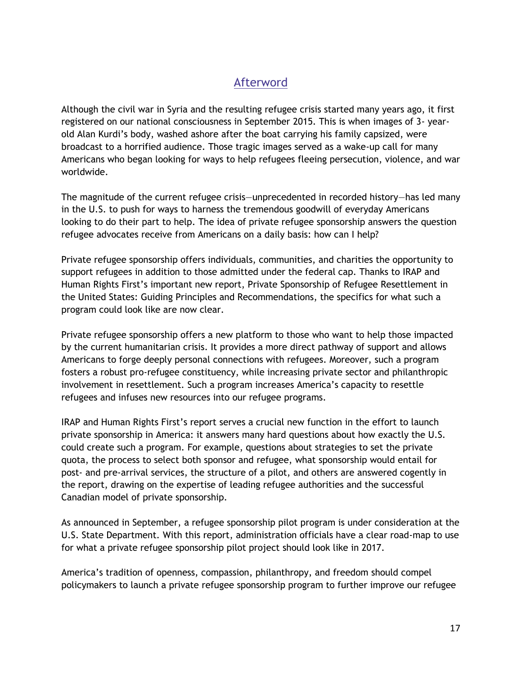# Afterword

Although the civil war in Syria and the resulting refugee crisis started many years ago, it first registered on our national consciousness in September 2015. This is when images of 3- yearold Alan Kurdi's body, washed ashore after the boat carrying his family capsized, were broadcast to a horrified audience. Those tragic images served as a wake-up call for many Americans who began looking for ways to help refugees fleeing persecution, violence, and war worldwide.

The magnitude of the current refugee crisis—unprecedented in recorded history—has led many in the U.S. to push for ways to harness the tremendous goodwill of everyday Americans looking to do their part to help. The idea of private refugee sponsorship answers the question refugee advocates receive from Americans on a daily basis: how can I help?

Private refugee sponsorship offers individuals, communities, and charities the opportunity to support refugees in addition to those admitted under the federal cap. Thanks to IRAP and Human Rights First's important new report, Private Sponsorship of Refugee Resettlement in the United States: Guiding Principles and Recommendations, the specifics for what such a program could look like are now clear.

Private refugee sponsorship offers a new platform to those who want to help those impacted by the current humanitarian crisis. It provides a more direct pathway of support and allows Americans to forge deeply personal connections with refugees. Moreover, such a program fosters a robust pro-refugee constituency, while increasing private sector and philanthropic involvement in resettlement. Such a program increases America's capacity to resettle refugees and infuses new resources into our refugee programs.

IRAP and Human Rights First's report serves a crucial new function in the effort to launch private sponsorship in America: it answers many hard questions about how exactly the U.S. could create such a program. For example, questions about strategies to set the private quota, the process to select both sponsor and refugee, what sponsorship would entail for post- and pre-arrival services, the structure of a pilot, and others are answered cogently in the report, drawing on the expertise of leading refugee authorities and the successful Canadian model of private sponsorship.

As announced in September, a refugee sponsorship pilot program is under consideration at the U.S. State Department. With this report, administration officials have a clear road-map to use for what a private refugee sponsorship pilot project should look like in 2017.

America's tradition of openness, compassion, philanthropy, and freedom should compel policymakers to launch a private refugee sponsorship program to further improve our refugee